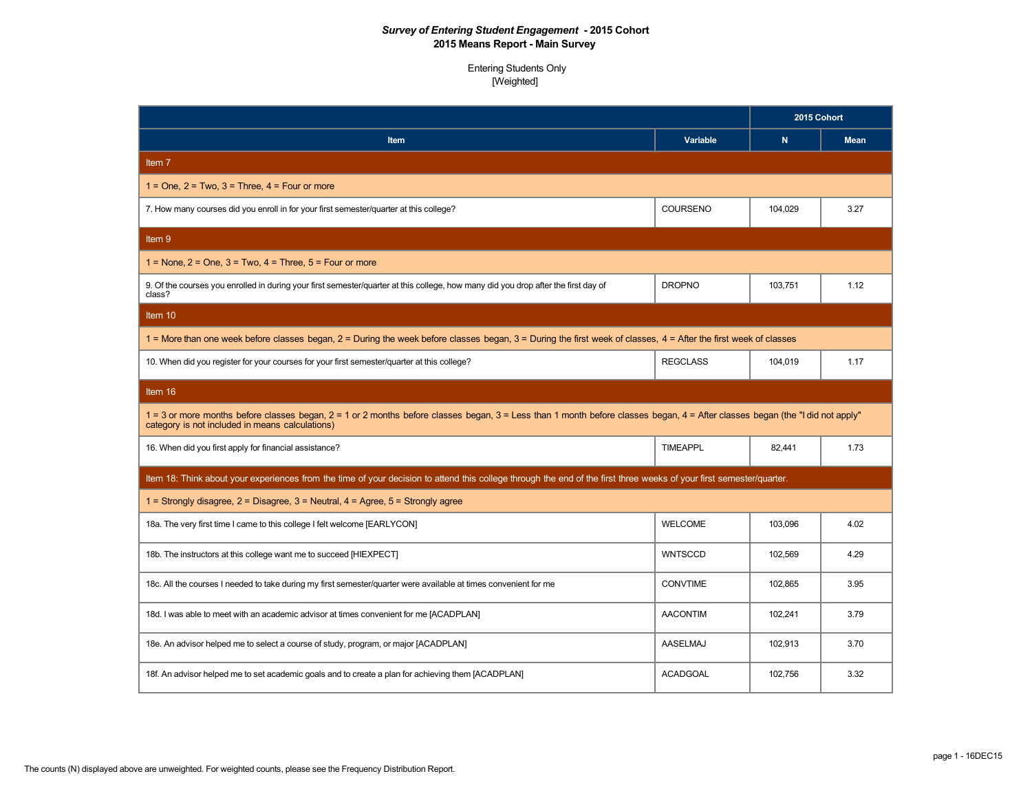|                                                                                                                                                                                                                                  |                 | 2015 Cohort  |             |
|----------------------------------------------------------------------------------------------------------------------------------------------------------------------------------------------------------------------------------|-----------------|--------------|-------------|
| Item                                                                                                                                                                                                                             | Variable        | $\mathsf{N}$ | <b>Mean</b> |
| Item 7                                                                                                                                                                                                                           |                 |              |             |
| $1 =$ One, $2 =$ Two, $3 =$ Three, $4 =$ Four or more                                                                                                                                                                            |                 |              |             |
| 7. How many courses did you enroll in for your first semester/quarter at this college?                                                                                                                                           | COURSENO        | 104,029      | 3.27        |
| Item 9                                                                                                                                                                                                                           |                 |              |             |
| $1 =$ None, $2 =$ One, $3 =$ Two, $4 =$ Three, $5 =$ Four or more                                                                                                                                                                |                 |              |             |
| 9. Of the courses you enrolled in during your first semester/quarter at this college, how many did you drop after the first day of<br>class?                                                                                     | <b>DROPNO</b>   | 103,751      | 1.12        |
| Item 10                                                                                                                                                                                                                          |                 |              |             |
| 1 = More than one week before classes began, 2 = During the week before classes began, 3 = During the first week of classes, 4 = After the first week of classes                                                                 |                 |              |             |
| 10. When did you register for your courses for your first semester/quarter at this college?                                                                                                                                      | <b>REGCLASS</b> | 104,019      | 1.17        |
| Item 16                                                                                                                                                                                                                          |                 |              |             |
| 1 = 3 or more months before classes began, 2 = 1 or 2 months before classes began, 3 = Less than 1 month before classes began, 4 = After classes began (the "I did not apply"<br>category is not included in means calculations) |                 |              |             |
| 16. When did you first apply for financial assistance?                                                                                                                                                                           | <b>TIMEAPPL</b> | 82,441       | 1.73        |
| Item 18: Think about your experiences from the time of your decision to attend this college through the end of the first three weeks of your first semester/quarter.                                                             |                 |              |             |
| 1 = Strongly disagree, $2 = Disagree$ , $3 = Neutral$ , $4 = Agree$ , $5 = Strongly$ agree                                                                                                                                       |                 |              |             |
| 18a. The very first time I came to this college I felt welcome [EARLYCON]                                                                                                                                                        | <b>WELCOME</b>  | 103,096      | 4.02        |
| 18b. The instructors at this college want me to succeed [HIEXPECT]                                                                                                                                                               | <b>WNTSCCD</b>  | 102,569      | 4.29        |
| 18c. All the courses I needed to take during my first semester/quarter were available at times convenient for me                                                                                                                 | <b>CONVTIME</b> | 102,865      | 3.95        |
| 18d. I was able to meet with an academic advisor at times convenient for me [ACADPLAN]                                                                                                                                           | <b>AACONTIM</b> | 102,241      | 3.79        |
| 18e. An advisor helped me to select a course of study, program, or major [ACADPLAN]                                                                                                                                              | AASELMAJ        | 102,913      | 3.70        |
| 18f. An advisor helped me to set academic goals and to create a plan for achieving them [ACADPLAN]                                                                                                                               | <b>ACADGOAL</b> | 102,756      | 3.32        |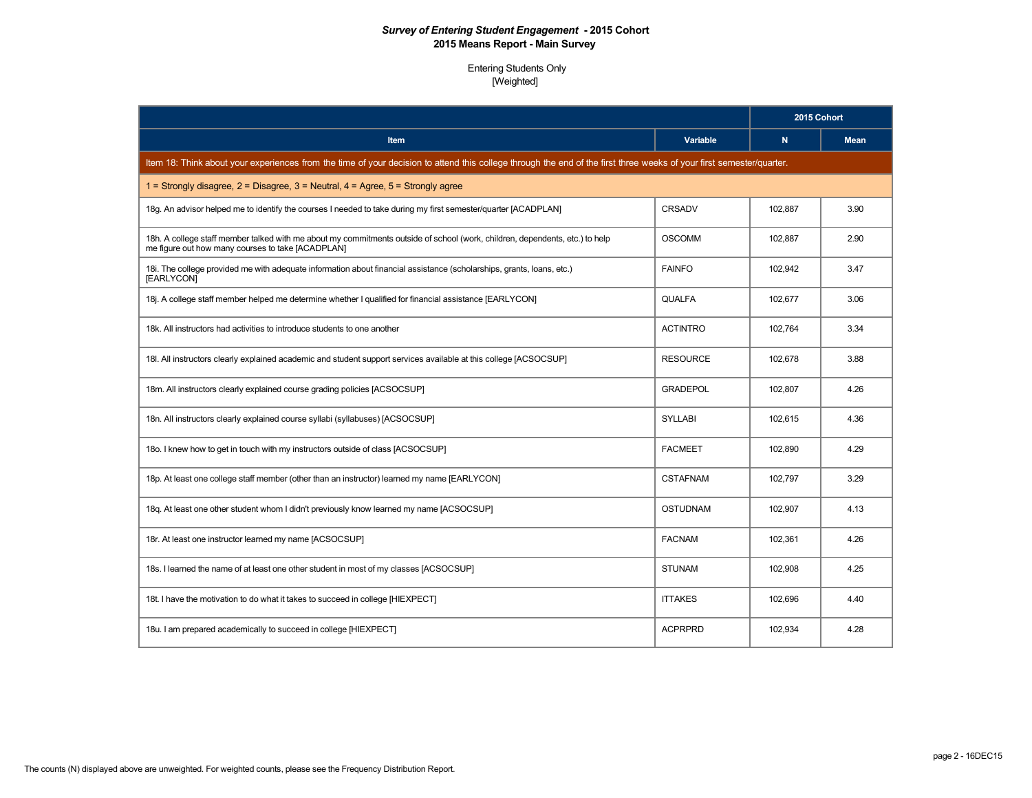|                                                                                                                                                                                   |                 | 2015 Cohort |             |
|-----------------------------------------------------------------------------------------------------------------------------------------------------------------------------------|-----------------|-------------|-------------|
| <b>Item</b>                                                                                                                                                                       | Variable        | N           | <b>Mean</b> |
| Item 18: Think about your experiences from the time of your decision to attend this college through the end of the first three weeks of your first semester/quarter.              |                 |             |             |
| 1 = Strongly disagree, $2$ = Disagree, $3$ = Neutral, $4$ = Agree, $5$ = Strongly agree                                                                                           |                 |             |             |
| 18g. An advisor helped me to identify the courses I needed to take during my first semester/quarter [ACADPLAN]                                                                    | CRSADV          | 102,887     | 3.90        |
| 18h. A college staff member talked with me about my commitments outside of school (work, children, dependents, etc.) to help<br>me figure out how many courses to take [ACADPLAN] | <b>OSCOMM</b>   | 102,887     | 2.90        |
| 18. The college provided me with adequate information about financial assistance (scholarships, grants, loans, etc.)<br>[EARLYCON]                                                | <b>FAINFO</b>   | 102,942     | 3.47        |
| 18j. A college staff member helped me determine whether I qualified for financial assistance [EARLYCON]                                                                           | <b>QUALFA</b>   | 102,677     | 3.06        |
| 18k. All instructors had activities to introduce students to one another                                                                                                          | <b>ACTINTRO</b> | 102,764     | 3.34        |
| 18I. All instructors clearly explained academic and student support services available at this college [ACSOCSUP]                                                                 | <b>RESOURCE</b> | 102,678     | 3.88        |
| 18m. All instructors clearly explained course grading policies [ACSOCSUP]                                                                                                         | <b>GRADEPOL</b> | 102.807     | 4.26        |
| 18n. All instructors clearly explained course syllabi (syllabuses) [ACSOCSUP]                                                                                                     | <b>SYLLABI</b>  | 102,615     | 4.36        |
| 180. I knew how to get in touch with my instructors outside of class [ACSOCSUP]                                                                                                   | <b>FACMEET</b>  | 102,890     | 4.29        |
| 18p. At least one college staff member (other than an instructor) learned my name [EARLYCON]                                                                                      | <b>CSTAFNAM</b> | 102,797     | 3.29        |
| 18q. At least one other student whom I didn't previously know learned my name [ACSOCSUP]                                                                                          | <b>OSTUDNAM</b> | 102,907     | 4.13        |
| 18r. At least one instructor learned my name [ACSOCSUP]                                                                                                                           | <b>FACNAM</b>   | 102,361     | 4.26        |
| 18s. I learned the name of at least one other student in most of my classes [ACSOCSUP]                                                                                            | <b>STUNAM</b>   | 102,908     | 4.25        |
| 18t. I have the motivation to do what it takes to succeed in college [HIEXPECT]                                                                                                   | <b>ITTAKES</b>  | 102,696     | 4.40        |
| 18u. I am prepared academically to succeed in college [HIEXPECT]                                                                                                                  | <b>ACPRPRD</b>  | 102,934     | 4.28        |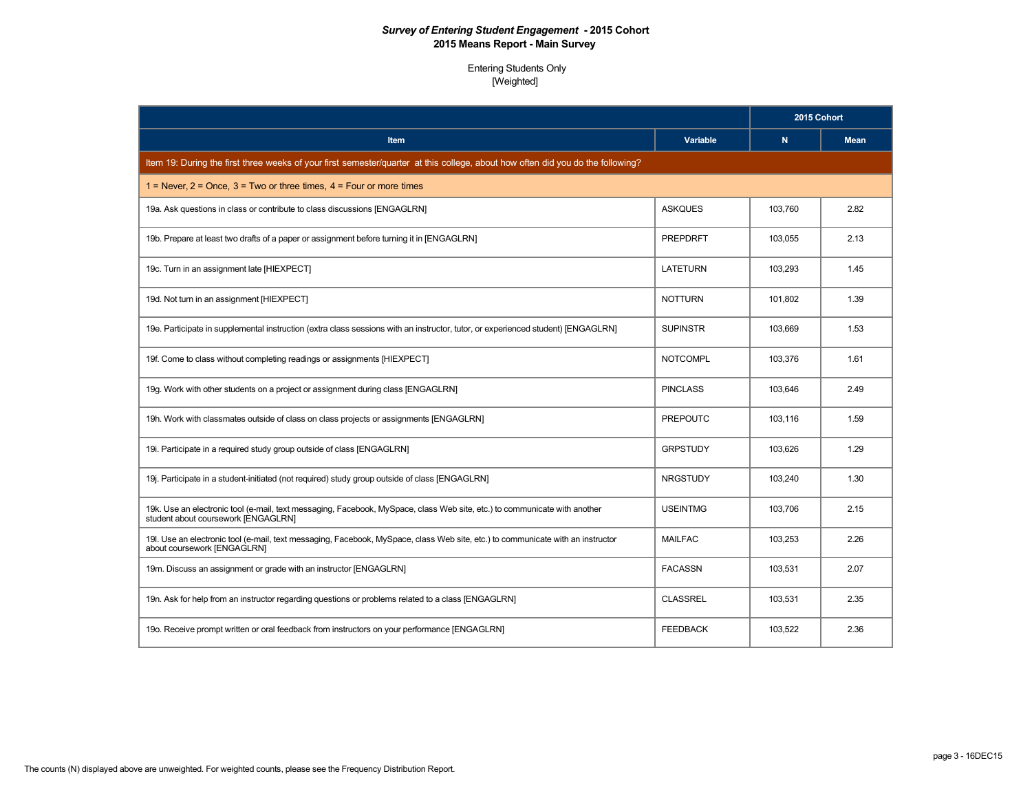|                                                                                                                                                                  |                 | 2015 Cohort |             |
|------------------------------------------------------------------------------------------------------------------------------------------------------------------|-----------------|-------------|-------------|
| <b>Item</b>                                                                                                                                                      | Variable        | N.          | <b>Mean</b> |
| Item 19: During the first three weeks of your first semester/quarter at this college, about how often did you do the following?                                  |                 |             |             |
| 1 = Never, $2 =$ Once, $3 =$ Two or three times, $4 =$ Four or more times                                                                                        |                 |             |             |
| 19a. Ask questions in class or contribute to class discussions [ENGAGLRN]                                                                                        | <b>ASKQUES</b>  | 103,760     | 2.82        |
| 19b. Prepare at least two drafts of a paper or assignment before turning it in [ENGAGLRN]                                                                        | <b>PREPDRFT</b> | 103,055     | 2.13        |
| 19c. Turn in an assignment late [HIEXPECT]                                                                                                                       | <b>LATETURN</b> | 103.293     | 1.45        |
| 19d. Not turn in an assignment [HIEXPECT]                                                                                                                        | <b>NOTTURN</b>  | 101,802     | 1.39        |
| 19e. Participate in supplemental instruction (extra class sessions with an instructor, tutor, or experienced student) [ENGAGLRN]                                 | <b>SUPINSTR</b> | 103,669     | 1.53        |
| 19f. Come to class without completing readings or assignments [HIEXPECT]                                                                                         | <b>NOTCOMPL</b> | 103,376     | 1.61        |
| 19g. Work with other students on a project or assignment during class [ENGAGLRN]                                                                                 | <b>PINCLASS</b> | 103,646     | 2.49        |
| 19h. Work with classmates outside of class on class projects or assignments [ENGAGLRN]                                                                           | <b>PREPOUTC</b> | 103.116     | 1.59        |
| 19i. Participate in a required study group outside of class [ENGAGLRN]                                                                                           | <b>GRPSTUDY</b> | 103,626     | 1.29        |
| 19j. Participate in a student-initiated (not required) study group outside of class [ENGAGLRN]                                                                   | <b>NRGSTUDY</b> | 103.240     | 1.30        |
| 19k. Use an electronic tool (e-mail, text messaging, Facebook, MySpace, class Web site, etc.) to communicate with another<br>student about coursework [ENGAGLRN] | <b>USEINTMG</b> | 103,706     | 2.15        |
| 19. Use an electronic tool (e-mail, text messaging, Facebook, MySpace, class Web site, etc.) to communicate with an instructor<br>about coursework [ENGAGLRN]    | <b>MAILFAC</b>  | 103,253     | 2.26        |
| 19m. Discuss an assignment or grade with an instructor [ENGAGLRN]                                                                                                | <b>FACASSN</b>  | 103,531     | 2.07        |
| 19n. Ask for help from an instructor regarding questions or problems related to a class [ENGAGLRN]                                                               | <b>CLASSREL</b> | 103,531     | 2.35        |
| 190. Receive prompt written or oral feedback from instructors on your performance [ENGAGLRN]                                                                     | <b>FEEDBACK</b> | 103,522     | 2.36        |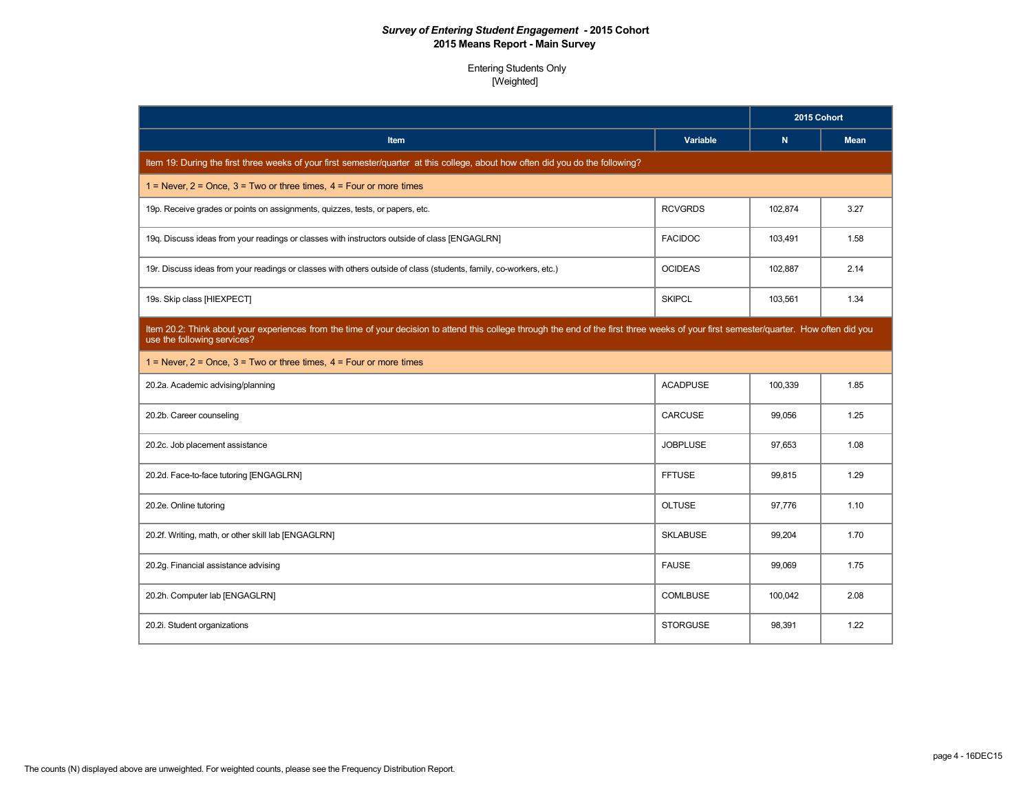|                                                                                                                                                                                                                         |                 | 2015 Cohort |             |
|-------------------------------------------------------------------------------------------------------------------------------------------------------------------------------------------------------------------------|-----------------|-------------|-------------|
| <b>Item</b>                                                                                                                                                                                                             | Variable        | N           | <b>Mean</b> |
| Item 19: During the first three weeks of your first semester/quarter at this college, about how often did you do the following?                                                                                         |                 |             |             |
| $1 =$ Never, $2 =$ Once, $3 =$ Two or three times, $4 =$ Four or more times                                                                                                                                             |                 |             |             |
| 19p. Receive grades or points on assignments, quizzes, tests, or papers, etc.                                                                                                                                           | <b>RCVGRDS</b>  | 102,874     | 3.27        |
| 19q. Discuss ideas from your readings or classes with instructors outside of class [ENGAGLRN]                                                                                                                           | <b>FACIDOC</b>  | 103,491     | 1.58        |
| 19r. Discuss ideas from your readings or classes with others outside of class (students, family, co-workers, etc.)                                                                                                      | <b>OCIDEAS</b>  | 102,887     | 2.14        |
| 19s. Skip class [HIEXPECT]                                                                                                                                                                                              | <b>SKIPCL</b>   | 103,561     | 1.34        |
| Item 20.2: Think about your experiences from the time of your decision to attend this college through the end of the first three weeks of your first semester/quarter. How often did you<br>use the following services? |                 |             |             |
| $1 =$ Never, $2 =$ Once, $3 =$ Two or three times, $4 =$ Four or more times                                                                                                                                             |                 |             |             |
| 20.2a. Academic advising/planning                                                                                                                                                                                       | <b>ACADPUSE</b> | 100,339     | 1.85        |
| 20.2b. Career counseling                                                                                                                                                                                                | CARCUSE         | 99,056      | 1.25        |
| 20.2c. Job placement assistance                                                                                                                                                                                         | <b>JOBPLUSE</b> | 97,653      | 1.08        |
| 20.2d. Face-to-face tutoring [ENGAGLRN]                                                                                                                                                                                 | <b>FFTUSE</b>   | 99,815      | 1.29        |
| 20.2e. Online tutoring                                                                                                                                                                                                  | <b>OLTUSE</b>   | 97.776      | 1.10        |
| 20.2f. Writing, math, or other skill lab [ENGAGLRN]                                                                                                                                                                     | <b>SKLABUSE</b> | 99,204      | 1.70        |
| 20.2g. Financial assistance advising                                                                                                                                                                                    | <b>FAUSE</b>    | 99,069      | 1.75        |
| 20.2h. Computer lab [ENGAGLRN]                                                                                                                                                                                          | <b>COMLBUSE</b> | 100,042     | 2.08        |
| 20.2i. Student organizations                                                                                                                                                                                            | <b>STORGUSE</b> | 98,391      | 1.22        |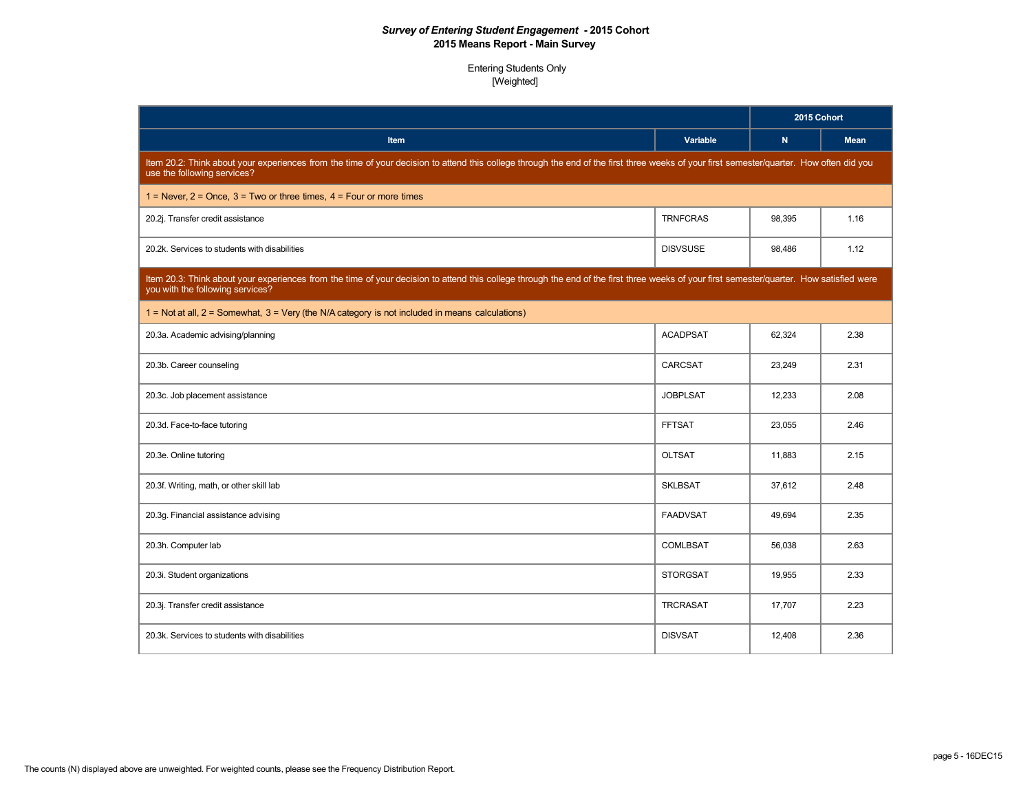|                                                                                                                                                                                                                               |                 | 2015 Cohort |             |
|-------------------------------------------------------------------------------------------------------------------------------------------------------------------------------------------------------------------------------|-----------------|-------------|-------------|
| Item                                                                                                                                                                                                                          | Variable        | $\mathbf N$ | <b>Mean</b> |
| Item 20.2: Think about your experiences from the time of your decision to attend this college through the end of the first three weeks of your first semester/quarter. How often did you<br>use the following services?       |                 |             |             |
| $1 =$ Never, $2 =$ Once, $3 =$ Two or three times, $4 =$ Four or more times                                                                                                                                                   |                 |             |             |
| 20.2j. Transfer credit assistance                                                                                                                                                                                             | <b>TRNFCRAS</b> | 98,395      | 1.16        |
| 20.2k. Services to students with disabilities                                                                                                                                                                                 | <b>DISVSUSE</b> | 98.486      | 1.12        |
| Item 20.3: Think about your experiences from the time of your decision to attend this college through the end of the first three weeks of your first semester/quarter. How satisfied were<br>you with the following services? |                 |             |             |
| 1 = Not at all, 2 = Somewhat, 3 = Very (the N/A category is not included in means calculations)                                                                                                                               |                 |             |             |
| 20.3a. Academic advising/planning                                                                                                                                                                                             | <b>ACADPSAT</b> | 62,324      | 2.38        |
| 20.3b. Career counseling                                                                                                                                                                                                      | CARCSAT         | 23.249      | 2.31        |
| 20.3c. Job placement assistance                                                                                                                                                                                               | <b>JOBPLSAT</b> | 12,233      | 2.08        |
| 20.3d. Face-to-face tutoring                                                                                                                                                                                                  | <b>FFTSAT</b>   | 23,055      | 2.46        |
| 20.3e. Online tutoring                                                                                                                                                                                                        | <b>OLTSAT</b>   | 11,883      | 2.15        |
| 20.3f. Writing, math, or other skill lab                                                                                                                                                                                      | <b>SKLBSAT</b>  | 37,612      | 2.48        |
| 20.3g. Financial assistance advising                                                                                                                                                                                          | <b>FAADVSAT</b> | 49,694      | 2.35        |
| 20.3h. Computer lab                                                                                                                                                                                                           | <b>COMLBSAT</b> | 56,038      | 2.63        |
| 20.3i. Student organizations                                                                                                                                                                                                  | <b>STORGSAT</b> | 19,955      | 2.33        |
| 20.3j. Transfer credit assistance                                                                                                                                                                                             | <b>TRCRASAT</b> | 17,707      | 2.23        |
| 20.3k. Services to students with disabilities                                                                                                                                                                                 | <b>DISVSAT</b>  | 12,408      | 2.36        |